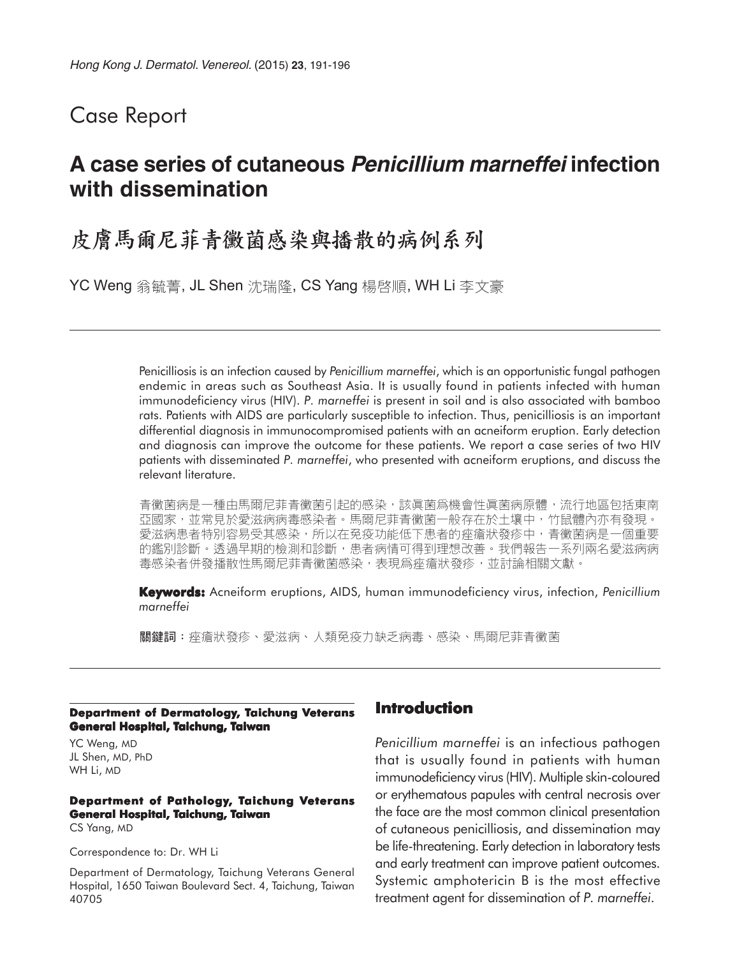## Case Report

# **A case series of cutaneous Penicillium marneffei infection with dissemination**

# 皮膚馬爾尼菲青黴菌感染與播散的病例系列

YC Weng 翁毓菁, JL Shen 沈瑞隆, CS Yang 楊啓順, WH Li 李文豪

Penicilliosis is an infection caused by *Penicillium marneffei*, which is an opportunistic fungal pathogen endemic in areas such as Southeast Asia. It is usually found in patients infected with human immunodeficiency virus (HIV). *P. marneffei* is present in soil and is also associated with bamboo rats. Patients with AIDS are particularly susceptible to infection. Thus, penicilliosis is an important differential diagnosis in immunocompromised patients with an acneiform eruption. Early detection and diagnosis can improve the outcome for these patients. We report a case series of two HIV patients with disseminated *P. marneffei*, who presented with acneiform eruptions, and discuss the relevant literature.

青黴菌病是一種由馬爾尼菲青黴菌引起的感染,該眞菌爲機會性眞菌病原體,流行地區包括東南 亞國家,並常見於愛滋病病毒感染者。馬爾尼菲青黴菌一般存在於土壤中,竹鼠體內亦有發現。 愛滋病患者特別容易受其感染,所以在免疫功能低下患者的痤瘡狀發疹中,青黴菌病是一個重要 的鑑別診斷 · 透過早期的檢測和診斷, 患者病情可得到理想改善 · 我們報告一系列兩名愛滋病病 毒感染者併發播散性馬爾尼菲青黴菌感染,表現爲痤瘡狀發疹,並討論相關文獻。

**Keywords:** Acneiform eruptions, AIDS, human immunodeficiency virus, infection, *Penicillium marneffei*

關鍵詞:痤瘡狀發疹、愛滋病、人類免疫力缺乏病毒、感染、馬爾尼菲青黴菌

#### **Department of Dermatology, Taichung Veterans General Hospital, Taichung, Taiwan**

YC Weng, MD JL Shen, MD, PhD WH Li, MD

### **Department of Pathology, Taichung Veterans General Hospital, Taichung, Taiwan**

CS Yang, MD

Correspondence to: Dr. WH Li

Department of Dermatology, Taichung Veterans General Hospital, 1650 Taiwan Boulevard Sect. 4, Taichung, Taiwan 40705

### **Introduction**

*Penicillium marneffei* is an infectious pathogen that is usually found in patients with human immunodeficiency virus (HIV). Multiple skin-coloured or erythematous papules with central necrosis over the face are the most common clinical presentation of cutaneous penicilliosis, and dissemination may be life-threatening. Early detection in laboratory tests and early treatment can improve patient outcomes. Systemic amphotericin B is the most effective treatment agent for dissemination of *P. marneffei*.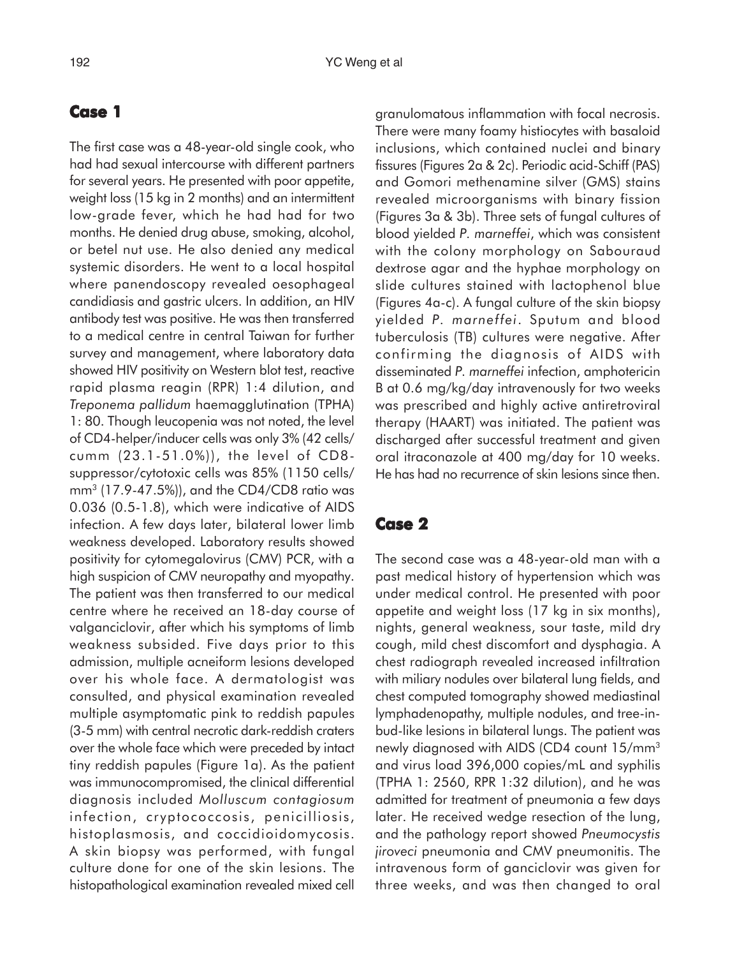#### **Case 1**

The first case was a 48-year-old single cook, who had had sexual intercourse with different partners for several years. He presented with poor appetite, weight loss (15 kg in 2 months) and an intermittent low-grade fever, which he had had for two months. He denied drug abuse, smoking, alcohol, or betel nut use. He also denied any medical systemic disorders. He went to a local hospital where panendoscopy revealed oesophageal candidiasis and gastric ulcers. In addition, an HIV antibody test was positive. He was then transferred to a medical centre in central Taiwan for further survey and management, where laboratory data showed HIV positivity on Western blot test, reactive rapid plasma reagin (RPR) 1:4 dilution, and *Treponema pallidum* haemagglutination (TPHA) 1: 80. Though leucopenia was not noted, the level of CD4-helper/inducer cells was only 3% (42 cells/ cumm (23.1-51.0%)), the level of CD8 suppressor/cytotoxic cells was 85% (1150 cells/ mm3 (17.9-47.5%)), and the CD4/CD8 ratio was 0.036 (0.5-1.8), which were indicative of AIDS infection. A few days later, bilateral lower limb weakness developed. Laboratory results showed positivity for cytomegalovirus (CMV) PCR, with a high suspicion of CMV neuropathy and myopathy. The patient was then transferred to our medical centre where he received an 18-day course of valganciclovir, after which his symptoms of limb weakness subsided. Five days prior to this admission, multiple acneiform lesions developed over his whole face. A dermatologist was consulted, and physical examination revealed multiple asymptomatic pink to reddish papules (3-5 mm) with central necrotic dark-reddish craters over the whole face which were preceded by intact tiny reddish papules (Figure 1a). As the patient was immunocompromised, the clinical differential diagnosis included *Molluscum contagiosum* infection, cryptococcosis, penicilliosis, histoplasmosis, and coccidioidomycosis. A skin biopsy was performed, with fungal culture done for one of the skin lesions. The histopathological examination revealed mixed cell granulomatous inflammation with focal necrosis. There were many foamy histiocytes with basaloid inclusions, which contained nuclei and binary fissures (Figures 2a & 2c). Periodic acid-Schiff (PAS) and Gomori methenamine silver (GMS) stains revealed microorganisms with binary fission (Figures 3a & 3b). Three sets of fungal cultures of blood yielded *P. marneffei*, which was consistent with the colony morphology on Sabouraud dextrose agar and the hyphae morphology on slide cultures stained with lactophenol blue (Figures 4a-c). A fungal culture of the skin biopsy yielded *P. marneffei*. Sputum and blood tuberculosis (TB) cultures were negative. After confirming the diagnosis of AIDS with disseminated *P. marneffei* infection, amphotericin B at 0.6 mg/kg/day intravenously for two weeks was prescribed and highly active antiretroviral therapy (HAART) was initiated. The patient was discharged after successful treatment and given oral itraconazole at 400 mg/day for 10 weeks. He has had no recurrence of skin lesions since then.

### **Case 2**

The second case was a 48-year-old man with a past medical history of hypertension which was under medical control. He presented with poor appetite and weight loss (17 kg in six months), nights, general weakness, sour taste, mild dry cough, mild chest discomfort and dysphagia. A chest radiograph revealed increased infiltration with miliary nodules over bilateral lung fields, and chest computed tomography showed mediastinal lymphadenopathy, multiple nodules, and tree-inbud-like lesions in bilateral lungs. The patient was newly diagnosed with AIDS (CD4 count 15/mm<sup>3</sup> and virus load 396,000 copies/mL and syphilis (TPHA 1: 2560, RPR 1:32 dilution), and he was admitted for treatment of pneumonia a few days later. He received wedge resection of the lung, and the pathology report showed *Pneumocystis jiroveci* pneumonia and CMV pneumonitis. The intravenous form of ganciclovir was given for three weeks, and was then changed to oral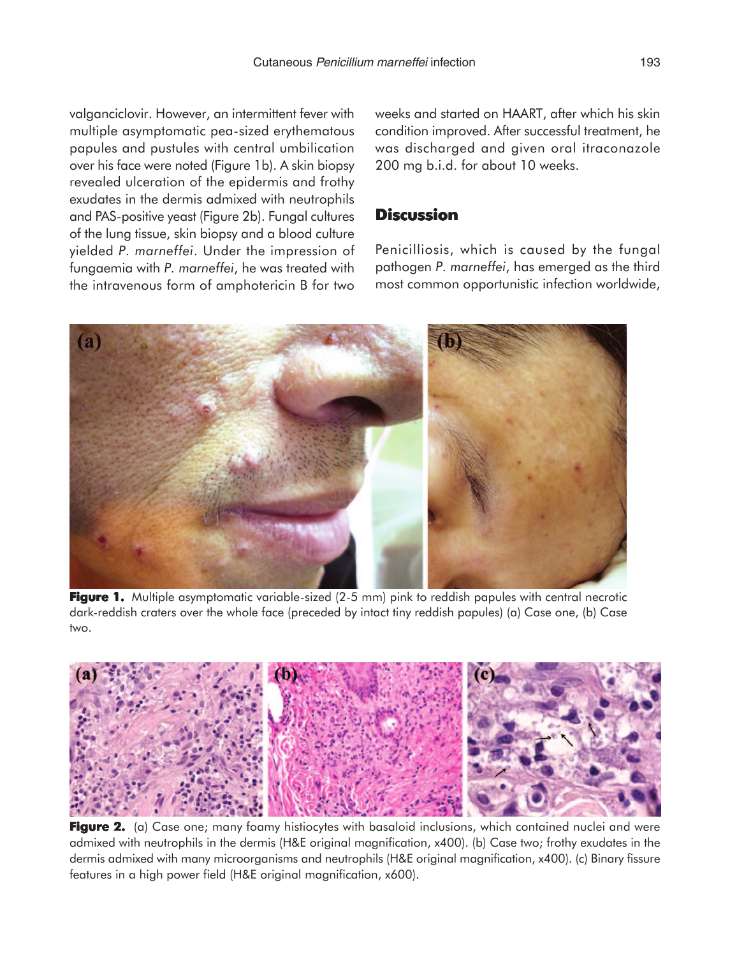valganciclovir. However, an intermittent fever with multiple asymptomatic pea-sized erythematous papules and pustules with central umbilication over his face were noted (Figure 1b). A skin biopsy revealed ulceration of the epidermis and frothy exudates in the dermis admixed with neutrophils and PAS-positive yeast (Figure 2b). Fungal cultures of the lung tissue, skin biopsy and a blood culture yielded *P. marneffei*. Under the impression of fungaemia with *P. marneffei*, he was treated with the intravenous form of amphotericin B for two weeks and started on HAART, after which his skin condition improved. After successful treatment, he was discharged and given oral itraconazole 200 mg b.i.d. for about 10 weeks.

#### **Discussion**

Penicilliosis, which is caused by the fungal pathogen *P. marneffei*, has emerged as the third most common opportunistic infection worldwide,



**Figure 1.** Multiple asymptomatic variable-sized (2-5 mm) pink to reddish papules with central necrotic dark-reddish craters over the whole face (preceded by intact tiny reddish papules) (a) Case one, (b) Case two.



Figure 2. (a) Case one; many foamy histiocytes with basaloid inclusions, which contained nuclei and were admixed with neutrophils in the dermis (H&E original magnification, x400). (b) Case two; frothy exudates in the dermis admixed with many microorganisms and neutrophils (H&E original magnification, x400). (c) Binary fissure features in a high power field (H&E original magnification, x600).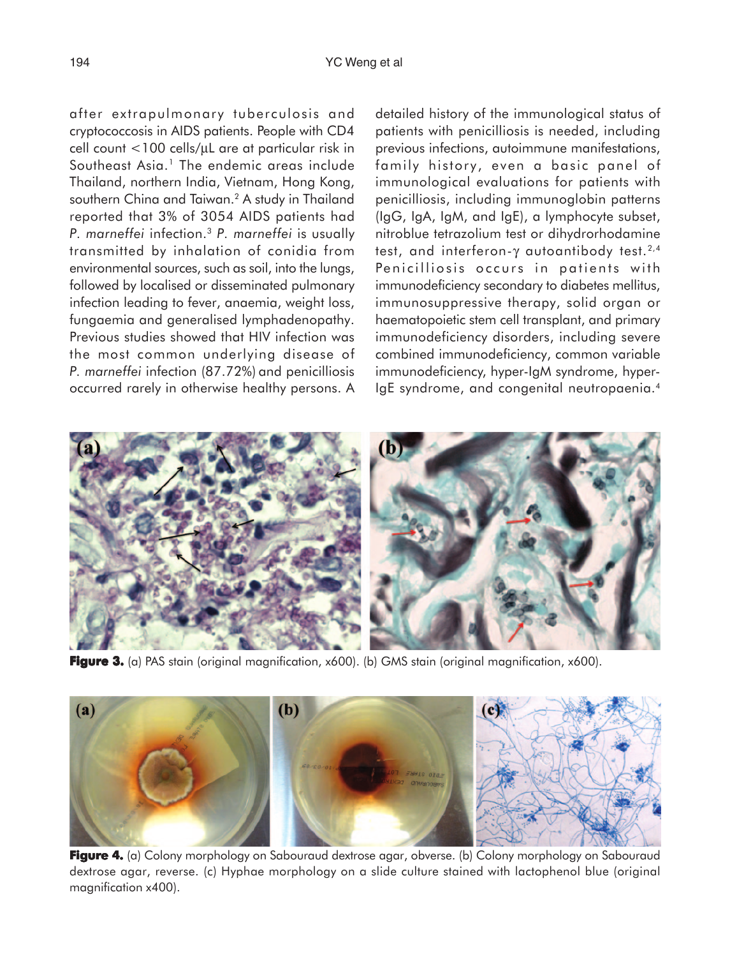after extrapulmonary tuberculosis and cryptococcosis in AIDS patients. People with CD4 cell count  $<$ 100 cells/ $\mu$ L are at particular risk in Southeast Asia.<sup>1</sup> The endemic areas include Thailand, northern India, Vietnam, Hong Kong, southern China and Taiwan.<sup>2</sup> A study in Thailand reported that 3% of 3054 AIDS patients had *P. marneffei* infection.3 *P. marneffei* is usually transmitted by inhalation of conidia from environmental sources, such as soil, into the lungs, followed by localised or disseminated pulmonary infection leading to fever, anaemia, weight loss, fungaemia and generalised lymphadenopathy. Previous studies showed that HIV infection was the most common underlying disease of *P. marneffei* infection (87.72%) and penicilliosis occurred rarely in otherwise healthy persons. A detailed history of the immunological status of patients with penicilliosis is needed, including previous infections, autoimmune manifestations, family history, even a basic panel of immunological evaluations for patients with penicilliosis, including immunoglobin patterns (IgG, IgA, IgM, and IgE), a lymphocyte subset, nitroblue tetrazolium test or dihydrorhodamine test, and interferon-γ autoantibody test.<sup>2,4</sup> Penicilliosis occurs in patients with immunodeficiency secondary to diabetes mellitus, immunosuppressive therapy, solid organ or haematopoietic stem cell transplant, and primary immunodeficiency disorders, including severe combined immunodeficiency, common variable immunodeficiency, hyper-IgM syndrome, hyper-IgE syndrome, and congenital neutropaenia.4



**Figure 3.** (a) PAS stain (original magnification, x600). (b) GMS stain (original magnification, x600).



Figure 4. (a) Colony morphology on Sabouraud dextrose agar, obverse. (b) Colony morphology on Sabouraud dextrose agar, reverse. (c) Hyphae morphology on a slide culture stained with lactophenol blue (original magnification x400).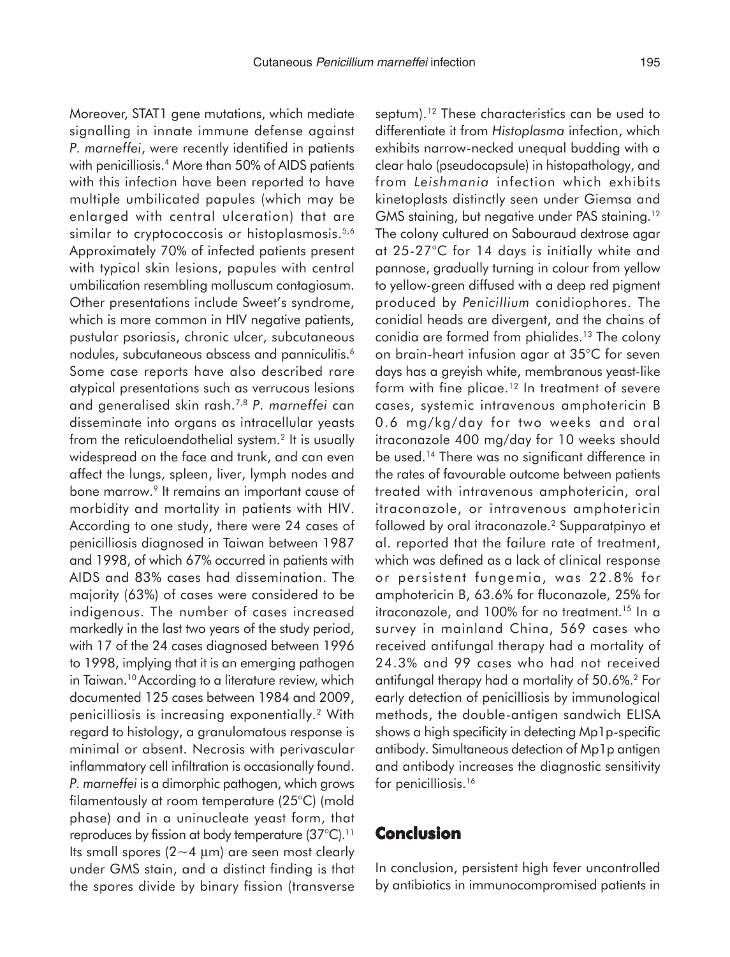Moreover, STAT1 gene mutations, which mediate signalling in innate immune defense against *P. marneffei*, were recently identified in patients with penicilliosis.<sup>4</sup> More than 50% of AIDS patients with this infection have been reported to have multiple umbilicated papules (which may be enlarged with central ulceration) that are similar to cryptococcosis or histoplasmosis.<sup>5,6</sup> Approximately 70% of infected patients present with typical skin lesions, papules with central umbilication resembling molluscum contagiosum. Other presentations include Sweet's syndrome, which is more common in HIV negative patients, pustular psoriasis, chronic ulcer, subcutaneous nodules, subcutaneous abscess and panniculitis.<sup>6</sup> Some case reports have also described rare atypical presentations such as verrucous lesions and generalised skin rash.7,8 *P. marneffei* can disseminate into organs as intracellular yeasts from the reticuloendothelial system.<sup>2</sup> It is usually widespread on the face and trunk, and can even affect the lungs, spleen, liver, lymph nodes and bone marrow.<sup>9</sup> It remains an important cause of morbidity and mortality in patients with HIV. According to one study, there were 24 cases of penicilliosis diagnosed in Taiwan between 1987 and 1998, of which 67% occurred in patients with AIDS and 83% cases had dissemination. The majority (63%) of cases were considered to be indigenous. The number of cases increased markedly in the last two years of the study period, with 17 of the 24 cases diagnosed between 1996 to 1998, implying that it is an emerging pathogen in Taiwan.<sup>10</sup> According to a literature review, which documented 125 cases between 1984 and 2009, penicilliosis is increasing exponentially.2 With regard to histology, a granulomatous response is minimal or absent. Necrosis with perivascular inflammatory cell infiltration is occasionally found. *P. marneffei* is a dimorphic pathogen, which grows filamentously at room temperature (25°C) (mold phase) and in a uninucleate yeast form, that reproduces by fission at body temperature (37°C).<sup>11</sup> Its small spores ( $2 \sim 4$  µm) are seen most clearly under GMS stain, and a distinct finding is that the spores divide by binary fission (transverse septum).<sup>12</sup> These characteristics can be used to differentiate it from *Histoplasma* infection, which exhibits narrow-necked unequal budding with a clear halo (pseudocapsule) in histopathology, and from *Leishmania* infection which exhibits kinetoplasts distinctly seen under Giemsa and GMS staining, but negative under PAS staining.<sup>12</sup> The colony cultured on Sabouraud dextrose agar at 25-27°C for 14 days is initially white and pannose, gradually turning in colour from yellow to yellow-green diffused with a deep red pigment produced by *Penicillium* conidiophores. The conidial heads are divergent, and the chains of conidia are formed from phialides.<sup>13</sup> The colony on brain-heart infusion agar at 35°C for seven days has a greyish white, membranous yeast-like form with fine plicae.<sup>12</sup> In treatment of severe cases, systemic intravenous amphotericin B 0.6 mg/kg/day for two weeks and oral itraconazole 400 mg/day for 10 weeks should be used.14 There was no significant difference in the rates of favourable outcome between patients treated with intravenous amphotericin, oral itraconazole, or intravenous amphotericin followed by oral itraconazole.<sup>2</sup> Supparatpinyo et al. reported that the failure rate of treatment, which was defined as a lack of clinical response or persistent fungemia, was 22.8% for amphotericin B, 63.6% for fluconazole, 25% for itraconazole, and 100% for no treatment.<sup>15</sup> In a survey in mainland China, 569 cases who received antifungal therapy had a mortality of 24.3% and 99 cases who had not received antifungal therapy had a mortality of 50.6%.2 For early detection of penicilliosis by immunological methods, the double-antigen sandwich ELISA shows a high specificity in detecting Mp1p-specific antibody. Simultaneous detection of Mp1p antigen and antibody increases the diagnostic sensitivity for penicilliosis.<sup>16</sup>

#### **Conclusion**

In conclusion, persistent high fever uncontrolled by antibiotics in immunocompromised patients in